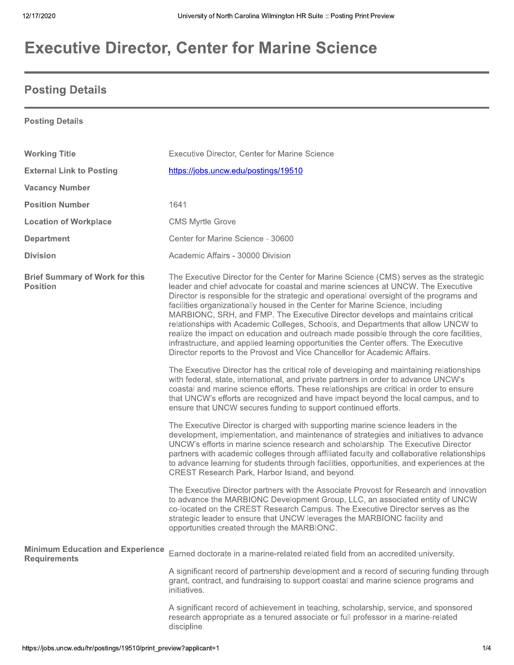## **Executive Director, Center for Marine Science**

## **Posting Details**

**Posting Details** 

| <b>Working Title</b>                                           | <b>Executive Director, Center for Marine Science</b>                                                                                                                                                                                                                                                                                                                                                                                                                                                                                                                                                                                                                                                                                                                                          |
|----------------------------------------------------------------|-----------------------------------------------------------------------------------------------------------------------------------------------------------------------------------------------------------------------------------------------------------------------------------------------------------------------------------------------------------------------------------------------------------------------------------------------------------------------------------------------------------------------------------------------------------------------------------------------------------------------------------------------------------------------------------------------------------------------------------------------------------------------------------------------|
| <b>External Link to Posting</b>                                | https://jobs.uncw.edu/postings/19510                                                                                                                                                                                                                                                                                                                                                                                                                                                                                                                                                                                                                                                                                                                                                          |
| <b>Vacancy Number</b>                                          |                                                                                                                                                                                                                                                                                                                                                                                                                                                                                                                                                                                                                                                                                                                                                                                               |
| <b>Position Number</b>                                         | 1641                                                                                                                                                                                                                                                                                                                                                                                                                                                                                                                                                                                                                                                                                                                                                                                          |
| <b>Location of Workplace</b>                                   | <b>CMS Myrtle Grove</b>                                                                                                                                                                                                                                                                                                                                                                                                                                                                                                                                                                                                                                                                                                                                                                       |
| <b>Department</b>                                              | Center for Marine Science - 30600                                                                                                                                                                                                                                                                                                                                                                                                                                                                                                                                                                                                                                                                                                                                                             |
| <b>Division</b>                                                | Academic Affairs - 30000 Division                                                                                                                                                                                                                                                                                                                                                                                                                                                                                                                                                                                                                                                                                                                                                             |
| <b>Brief Summary of Work for this</b><br><b>Position</b>       | The Executive Director for the Center for Marine Science (CMS) serves as the strategic<br>leader and chief advocate for coastal and marine sciences at UNCW. The Executive<br>Director is responsible for the strategic and operational oversight of the programs and<br>facilities organizationally housed in the Center for Marine Science, including<br>MARBIONC, SRH, and FMP. The Executive Director develops and maintains critical<br>relationships with Academic Colleges, Schools, and Departments that allow UNCW to<br>realize the impact on education and outreach made possible through the core facilities,<br>infrastructure, and applied learning opportunities the Center offers. The Executive<br>Director reports to the Provost and Vice Chancellor for Academic Affairs. |
|                                                                | The Executive Director has the critical role of developing and maintaining relationships<br>with federal, state, international, and private partners in order to advance UNCW's<br>coastal and marine science efforts. These relationships are critical in order to ensure<br>that UNCW's efforts are recognized and have impact beyond the local campus, and to<br>ensure that UNCW secures funding to support continued efforts.                                                                                                                                                                                                                                                                                                                                                            |
|                                                                | The Executive Director is charged with supporting marine science leaders in the<br>development, implementation, and maintenance of strategies and initiatives to advance<br>UNCW's efforts in marine science research and scholarship. The Executive Director<br>partners with academic colleges through affiliated faculty and collaborative relationships<br>to advance learning for students through facilities, opportunities, and experiences at the<br>CREST Research Park, Harbor Island, and beyond.                                                                                                                                                                                                                                                                                  |
|                                                                | The Executive Director partners with the Associate Provost for Research and Innovation<br>to advance the MARBIONC Development Group, LLC, an associated entity of UNCW<br>co-located on the CREST Research Campus. The Executive Director serves as the<br>strategic leader to ensure that UNCW leverages the MARBIONC facility and<br>opportunities created through the MARBIONC.                                                                                                                                                                                                                                                                                                                                                                                                            |
| <b>Minimum Education and Experience</b><br><b>Requirements</b> | Earned doctorate in a marine-related related field from an accredited university.                                                                                                                                                                                                                                                                                                                                                                                                                                                                                                                                                                                                                                                                                                             |
|                                                                | A significant record of partnership development and a record of securing funding through<br>grant, contract, and fundraising to support coastal and marine science programs and<br>initiatives.                                                                                                                                                                                                                                                                                                                                                                                                                                                                                                                                                                                               |
|                                                                | A significant record of achievement in teaching, scholarship, service, and sponsored<br>research appropriate as a tenured associate or full professor in a marine-related<br>discipline.                                                                                                                                                                                                                                                                                                                                                                                                                                                                                                                                                                                                      |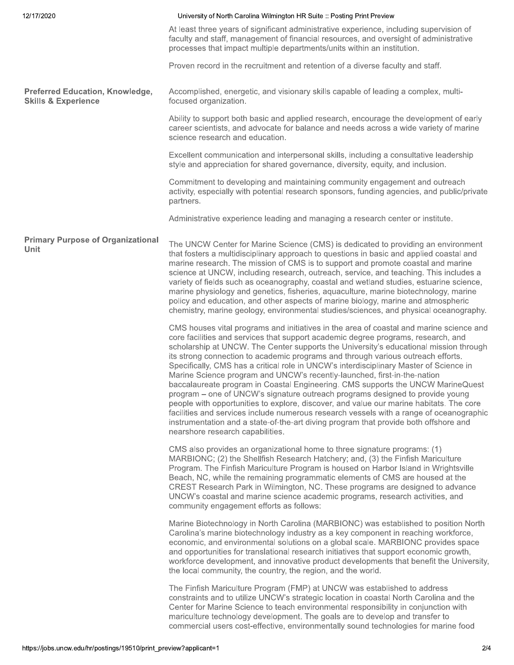| 12/17/2020                                                               | University of North Carolina Wilmington HR Suite :: Posting Print Preview                                                                                                                                                                                                                                                                                                                                                                                                                                                                                                                                                                                                                                                                                                                                                                                                                                                                                                                                             |
|--------------------------------------------------------------------------|-----------------------------------------------------------------------------------------------------------------------------------------------------------------------------------------------------------------------------------------------------------------------------------------------------------------------------------------------------------------------------------------------------------------------------------------------------------------------------------------------------------------------------------------------------------------------------------------------------------------------------------------------------------------------------------------------------------------------------------------------------------------------------------------------------------------------------------------------------------------------------------------------------------------------------------------------------------------------------------------------------------------------|
|                                                                          | At least three years of significant administrative experience, including supervision of<br>faculty and staff, management of financial resources, and oversight of administrative<br>processes that impact multiple departments/units within an institution.                                                                                                                                                                                                                                                                                                                                                                                                                                                                                                                                                                                                                                                                                                                                                           |
|                                                                          | Proven record in the recruitment and retention of a diverse faculty and staff.                                                                                                                                                                                                                                                                                                                                                                                                                                                                                                                                                                                                                                                                                                                                                                                                                                                                                                                                        |
| <b>Preferred Education, Knowledge,</b><br><b>Skills &amp; Experience</b> | Accomplished, energetic, and visionary skills capable of leading a complex, multi-<br>focused organization.                                                                                                                                                                                                                                                                                                                                                                                                                                                                                                                                                                                                                                                                                                                                                                                                                                                                                                           |
|                                                                          | Ability to support both basic and applied research, encourage the development of early<br>career scientists, and advocate for balance and needs across a wide variety of marine<br>science research and education.                                                                                                                                                                                                                                                                                                                                                                                                                                                                                                                                                                                                                                                                                                                                                                                                    |
|                                                                          | Excellent communication and interpersonal skills, including a consultative leadership<br>style and appreciation for shared governance, diversity, equity, and inclusion.                                                                                                                                                                                                                                                                                                                                                                                                                                                                                                                                                                                                                                                                                                                                                                                                                                              |
|                                                                          | Commitment to developing and maintaining community engagement and outreach<br>activity, especially with potential research sponsors, funding agencies, and public/private<br>partners.                                                                                                                                                                                                                                                                                                                                                                                                                                                                                                                                                                                                                                                                                                                                                                                                                                |
|                                                                          | Administrative experience leading and managing a research center or institute.                                                                                                                                                                                                                                                                                                                                                                                                                                                                                                                                                                                                                                                                                                                                                                                                                                                                                                                                        |
| <b>Primary Purpose of Organizational</b><br>Unit                         | The UNCW Center for Marine Science (CMS) is dedicated to providing an environment<br>that fosters a multidisciplinary approach to questions in basic and applied coastal and<br>marine research. The mission of CMS is to support and promote coastal and marine<br>science at UNCW, including research, outreach, service, and teaching. This includes a<br>variety of fields such as oceanography, coastal and wetland studies, estuarine science,<br>marine physiology and genetics, fisheries, aquaculture, marine biotechnology, marine<br>policy and education, and other aspects of marine biology, marine and atmospheric<br>chemistry, marine geology, environmental studies/sciences, and physical oceanography.                                                                                                                                                                                                                                                                                            |
|                                                                          | CMS houses vital programs and initiatives in the area of coastal and marine science and<br>core facilities and services that support academic degree programs, research, and<br>scholarship at UNCW. The Center supports the University's educational mission through<br>its strong connection to academic programs and through various outreach efforts.<br>Specifically, CMS has a critical role in UNCW's interdisciplinary Master of Science in<br>Marine Science program and UNCW's recently-launched, first-in-the-nation<br>baccalaureate program in Coastal Engineering. CMS supports the UNCW MarineQuest<br>program – one of UNCW's signature outreach programs designed to provide young<br>people with opportunities to explore, discover, and value our marine habitats. The core<br>facilities and services include numerous research vessels with a range of oceanographic<br>instrumentation and a state-of-the-art diving program that provide both offshore and<br>nearshore research capabilities. |
|                                                                          | CMS also provides an organizational home to three signature programs: (1)<br>MARBIONC; (2) the Shellfish Research Hatchery; and, (3) the Finfish Mariculture<br>Program. The Finfish Mariculture Program is housed on Harbor Island in Wrightsville<br>Beach, NC, while the remaining programmatic elements of CMS are housed at the<br>CREST Research Park in Wilmington, NC. These programs are designed to advance<br>UNCW's coastal and marine science academic programs, research activities, and<br>community engagement efforts as follows:                                                                                                                                                                                                                                                                                                                                                                                                                                                                    |
|                                                                          | Marine Biotechnology in North Carolina (MARBIONC) was established to position North<br>Carolina's marine biotechnology industry as a key component in reaching workforce,<br>economic, and environmental solutions on a global scale. MARBIONC provides space<br>and opportunities for translational research initiatives that support economic growth,<br>workforce development, and innovative product developments that benefit the University,<br>the local community, the country, the region, and the world.                                                                                                                                                                                                                                                                                                                                                                                                                                                                                                    |
|                                                                          | The Finfish Mariculture Program (FMP) at UNCW was established to address<br>constraints and to utilize UNCW's strategic location in coastal North Carolina and the<br>Center for Marine Science to teach environmental responsibility in conjunction with<br>mariculture technology development. The goals are to develop and transfer to<br>commercial users cost-effective, environmentally sound technologies for marine food                                                                                                                                                                                                                                                                                                                                                                                                                                                                                                                                                                                      |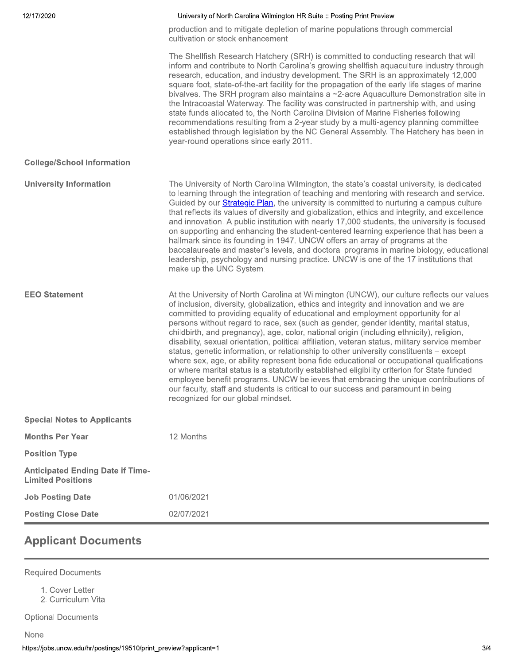| 12/17/2020                                                          | University of North Carolina Wilmington HR Suite :: Posting Print Preview                                                                                                                                                                                                                                                                                                                                                                                                                                                                                                                                                                                                                                                                                                                                                                                                                                                                                                                                                                                               |
|---------------------------------------------------------------------|-------------------------------------------------------------------------------------------------------------------------------------------------------------------------------------------------------------------------------------------------------------------------------------------------------------------------------------------------------------------------------------------------------------------------------------------------------------------------------------------------------------------------------------------------------------------------------------------------------------------------------------------------------------------------------------------------------------------------------------------------------------------------------------------------------------------------------------------------------------------------------------------------------------------------------------------------------------------------------------------------------------------------------------------------------------------------|
|                                                                     | production and to mitigate depletion of marine populations through commercial<br>cultivation or stock enhancement.                                                                                                                                                                                                                                                                                                                                                                                                                                                                                                                                                                                                                                                                                                                                                                                                                                                                                                                                                      |
|                                                                     | The Shellfish Research Hatchery (SRH) is committed to conducting research that will<br>inform and contribute to North Carolina's growing shellfish aquaculture industry through<br>research, education, and industry development. The SRH is an approximately 12,000<br>square foot, state-of-the-art facility for the propagation of the early life stages of marine<br>bivalves. The SRH program also maintains a $\sim$ 2-acre Aquaculture Demonstration site in<br>the Intracoastal Waterway. The facility was constructed in partnership with, and using<br>state funds allocated to, the North Carolina Division of Marine Fisheries following<br>recommendations resulting from a 2-year study by a multi-agency planning committee<br>established through legislation by the NC General Assembly. The Hatchery has been in<br>year-round operations since early 2011.                                                                                                                                                                                           |
| <b>College/School Information</b>                                   |                                                                                                                                                                                                                                                                                                                                                                                                                                                                                                                                                                                                                                                                                                                                                                                                                                                                                                                                                                                                                                                                         |
| <b>University Information</b>                                       | The University of North Carolina Wilmington, the state's coastal university, is dedicated<br>to learning through the integration of teaching and mentoring with research and service.<br>Guided by our Strategic Plan, the university is committed to nurturing a campus culture<br>that reflects its values of diversity and globalization, ethics and integrity, and excellence<br>and innovation. A public institution with nearly 17,000 students, the university is focused<br>on supporting and enhancing the student-centered learning experience that has been a<br>hallmark since its founding in 1947. UNCW offers an array of programs at the<br>baccalaureate and master's levels, and doctoral programs in marine biology, educational<br>leadership, psychology and nursing practice. UNCW is one of the 17 institutions that<br>make up the UNC System.                                                                                                                                                                                                  |
| <b>EEO Statement</b>                                                | At the University of North Carolina at Wilmington (UNCW), our culture reflects our values<br>of inclusion, diversity, globalization, ethics and integrity and innovation and we are<br>committed to providing equality of educational and employment opportunity for all<br>persons without regard to race, sex (such as gender, gender identity, marital status,<br>childbirth, and pregnancy), age, color, national origin (including ethnicity), religion,<br>disability, sexual orientation, political affiliation, veteran status, military service member<br>status, genetic information, or relationship to other university constituents - except<br>where sex, age, or ability represent bona fide educational or occupational qualifications<br>or where marital status is a statutorily established eligibility criterion for State funded<br>employee benefit programs. UNCW believes that embracing the unique contributions of<br>our faculty, staff and students is critical to our success and paramount in being<br>recognized for our global mindset. |
| <b>Special Notes to Applicants</b>                                  |                                                                                                                                                                                                                                                                                                                                                                                                                                                                                                                                                                                                                                                                                                                                                                                                                                                                                                                                                                                                                                                                         |
| <b>Months Per Year</b>                                              | 12 Months                                                                                                                                                                                                                                                                                                                                                                                                                                                                                                                                                                                                                                                                                                                                                                                                                                                                                                                                                                                                                                                               |
| <b>Position Type</b>                                                |                                                                                                                                                                                                                                                                                                                                                                                                                                                                                                                                                                                                                                                                                                                                                                                                                                                                                                                                                                                                                                                                         |
| <b>Anticipated Ending Date if Time-</b><br><b>Limited Positions</b> |                                                                                                                                                                                                                                                                                                                                                                                                                                                                                                                                                                                                                                                                                                                                                                                                                                                                                                                                                                                                                                                                         |
| <b>Job Posting Date</b>                                             | 01/06/2021                                                                                                                                                                                                                                                                                                                                                                                                                                                                                                                                                                                                                                                                                                                                                                                                                                                                                                                                                                                                                                                              |
| <b>Posting Close Date</b>                                           | 02/07/2021                                                                                                                                                                                                                                                                                                                                                                                                                                                                                                                                                                                                                                                                                                                                                                                                                                                                                                                                                                                                                                                              |

## **Applicant Documents**

**Required Documents** 

1. Cover Letter

2. Curriculum Vita

**Optional Documents**